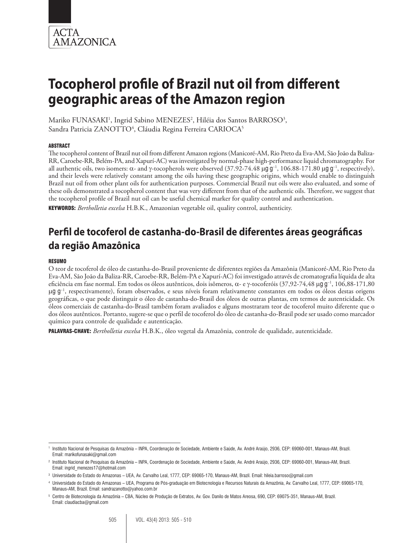

Mariko FUNASAKI<sup>1</sup>, Ingrid Sabino MENEZES<sup>2</sup>, Hiléia dos Santos BARROSO<sup>3</sup>, Sandra Patricia ZANOTTO<sup>4</sup>, Cláudia Regina Ferreira CARIOCA<sup>5</sup>

#### ABSTRACT

The tocopherol content of Brazil nut oil from different Amazon regions (Manicoré-AM, Rio Preto da Eva-AM, São João da Baliza-RR, Caroebe-RR, Belém-PA, and Xapurí-AC) was investigated by normal-phase high-performance liquid chromatography. For all authentic oils, two isomers: α- and γ-tocopherols were observed (37.92-74.48 μg g<sup>-1</sup>, 106.88-171.80 μg g<sup>-1</sup>, respectively), and their levels were relatively constant among the oils having these geographic origins, which would enable to distinguish Brazil nut oil from other plant oils for authentication purposes. Commercial Brazil nut oils were also evaluated, and some of these oils demonstrated a tocopherol content that was very different from that of the authentic oils. Therefore, we suggest that the tocopherol profile of Brazil nut oil can be useful chemical marker for quality control and authentication.

KEYWORDS: *Bertholletia excelsa* H.B.K., Amazonian vegetable oil, quality control, authenticity.

## **Perfil de tocoferol de castanha-do-Brasil de diferentes áreas geográficas da região Amazônica**

#### RESUMO

O teor de tocoferol de óleo de castanha-do-Brasil proveniente de diferentes regiões da Amazônia (Manicoré-AM, Rio Preto da Eva-AM, São João da Baliza-RR, Caroebe-RR, Belém-PA e Xapurí-AC) foi investigado através de cromatografia líquida de alta eficiência em fase normal. Em todos os óleos autênticos, dois isômeros, a- e g-tocoferóis (37,92-74,48 mg g−1, 106,88-171,80 µg g<sup>-1</sup>, respectivamente), foram observados, e seus níveis foram relativamente constantes em todos os óleos destas origens geográficas, o que pode distinguir o óleo de castanha-do-Brasil dos óleos de outras plantas, em termos de autenticidade. Os óleos comerciais de castanha-do-Brasil também foram avaliados e alguns mostraram teor de tocoferol muito diferente que o dos óleos autênticos. Portanto, sugere-se que o perfil de tocoferol do óleo de castanha-do-Brasil pode ser usado como marcador químico para controle de qualidade e autenticação.

PALAVRAS-CHAVE: *Bertholletia excelsa* H.B.K., óleo vegetal da Amazônia, controle de qualidade, autenticidade.

<sup>1</sup> Instituto Nacional de Pesquisas da Amazônia – INPA, Coordenação de Sociedade, Ambiente e Saúde, Av. André Araújo, 2936, CEP: 69060-001, Manaus-AM, Brazil. Email: marikofunasaki@gmail.com

<sup>2</sup> Instituto Nacional de Pesquisas da Amazônia – INPA, Coordenação de Sociedade, Ambiente e Saúde, Av. André Araújo, 2936, CEP: 69060-001, Manaus-AM, Brazil. Email: ingrid\_menezes17@hotmail.com

<sup>3</sup> Universidade do Estado do Amazonas – UEA, Av. Carvalho Leal, 1777, CEP: 69065-170, Manaus-AM, Brazil. Email: hileia.barroso@gmail.com

<sup>4</sup> Universidade do Estado do Amazonas – UEA, Programa de Pós-graduação em Biotecnologia e Recursos Naturais da Amazônia, Av. Carvalho Leal, 1777, CEP: 69065-170, Manaus-AM, Brazil. Email: sandrazanotto@yahoo.com.br

<sup>5</sup> Centro de Biotecnologia da Amazônia – CBA, Núcleo de Produção de Extratos, Av. Gov. Danilo de Matos Areosa, 690, CEP: 69075-351, Manaus-AM, Brazil. Email: claudiacba@gmail.com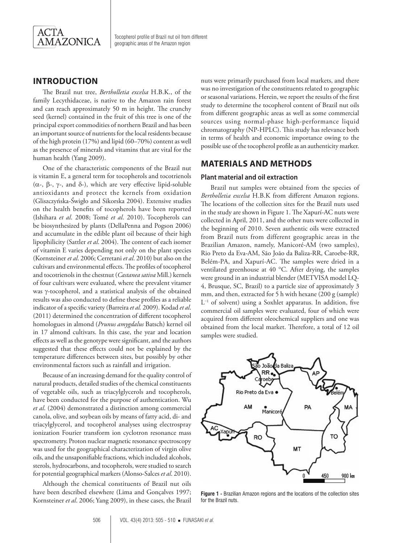

## **INTRODUCTION**

The Brazil nut tree, *Bertholletia excelsa* H.B.K., of the family Lecythidaceae, is native to the Amazon rain forest and can reach approximately 50 m in height. The crunchy seed (kernel) contained in the fruit of this tree is one of the principal export commodities of northern Brazil and has been an important source of nutrients for the local residents because of the high protein (17%) and lipid (60–70%) content as well as the presence of minerals and vitamins that are vital for the human health (Yang 2009).

One of the characteristic components of the Brazil nut is vitamin E, a general term for tocopherols and tocotrienols ( $\alpha$ -,  $\beta$ -,  $\gamma$ -, and  $\delta$ -), which are very effective lipid-soluble antioxidants and protect the kernels from oxidation (Gliszczyńska-Świgło and Sikorska 2004). Extensive studies on the health benefits of tocopherols have been reported (Ishihara *et al*. 2008; Tomé *et al*. 2010). Tocopherols can be biosynthesized by plants (DellaPenna and Pogson 2006) and accumulate in the edible plant oil because of their high lipophilicity (Sattler *et al*. 2004). The content of each isomer of vitamin E varies depending not only on the plant species (Kornsteiner *et al*. 2006; Cerretani *et al*. 2010) but also on the cultivars and environmental effects. The profiles of tocopherol and tocotrienols in the chestnut (*Castanea sativa* Mill.) kernels of four cultivars were evaluated, where the prevalent vitamer was γ-tocopherol, and a statistical analysis of the obtained results was also conducted to define these profiles as a reliable indicator of a specific variety (Barreira *et al.* 2009). Kodad *et al*. (2011) determined the concentration of different tocopherol homologues in almond (*Prunus amygdalus* Batsch) kernel oil in 17 almond cultivars. In this case, the year and location effects as well as the genotype were significant, and the authors suggested that these effects could not be explained by the temperature differences between sites, but possibly by other environmental factors such as rainfall and irrigation.

Because of an increasing demand for the quality control of natural products, detailed studies of the chemical constituents of vegetable oils, such as triacylglycerols and tocopherols, have been conducted for the purpose of authentication. Wu *et al*. (2004) demonstrated a distinction among commercial canola, olive, and soybean oils by means of fatty acid, di- and triacylglycerol, and tocopherol analyses using electrospray ionization Fourier transform ion cyclotron resonance mass spectrometry. Proton nuclear magnetic resonance spectroscopy was used for the geographical characterization of virgin olive oils, and the unsaponifiable fractions, which included alcohols, sterols, hydrocarbons, and tocopherols, were studied to search for potential geographical markers (Alonso-Salces *et al*. 2010).

Although the chemical constituents of Brazil nut oils have been described elsewhere (Lima and Gonçalves 1997; Kornsteiner *et al*. 2006; Yang 2009), in these cases, the Brazil

nuts were primarily purchased from local markets, and there was no investigation of the constituents related to geographic or seasonal variations. Herein, we report the results of the first study to determine the tocopherol content of Brazil nut oils from different geographic areas as well as some commercial sources using normal-phase high-performance liquid chromatography (NP-HPLC). This study has relevance both in terms of health and economic importance owing to the possible use of the tocopherol profile as an authenticity marker.

## **MATERIALS AND METHODS**

#### **Plant material and oil extraction**

Brazil nut samples were obtained from the species of *Bertholletia excelsa* H.B.K from different Amazon regions. The locations of the collection sites for the Brazil nuts used in the study are shown in Figure 1. The Xapurí-AC nuts were collected in April, 2011, and the other nuts were collected in the beginning of 2010. Seven authentic oils were extracted from Brazil nuts from different geographic areas in the Brazilian Amazon, namely, Manicoré*-*AM (two samples), Rio Preto da Eva*-*AM, São João da Baliza*-*RR, Caroebe*-*RR, Belém*-*PA, and Xapurí*-*AC. The samples were dried in a ventilated greenhouse at 40 °C. After drying, the samples were ground in an industrial blender (METVISA model LQ-4, Brusque, SC, Brazil) to a particle size of approximately 3 mm, and then, extracted for 5 h with hexane (200 g (sample)  $L^{-1}$  of solvent) using a Soxhlet apparatus. In addition, five commercial oil samples were evaluated, four of which were acquired from different oleochemical suppliers and one was obtained from the local market. Therefore, a total of 12 oil samples were studied.



**Figure 1 -** Brazilian Amazon regions and the locations of the collection sites for the Brazil nuts.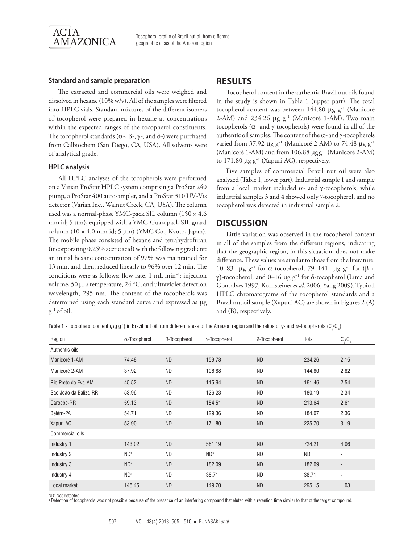

#### **Standard and sample preparation**

The extracted and commercial oils were weighed and dissolved in hexane (10% w/v). All of the samples were filtered into HPLC vials. Standard mixtures of the different isomers of tocopherol were prepared in hexane at concentrations within the expected ranges of the tocopherol constituents. The tocopherol standards ( $\alpha$ -,  $\beta$ -,  $\gamma$ -, and  $\delta$ -) were purchased from Calbiochem (San Diego, CA, USA). All solvents were of analytical grade.

#### **HPLC analysis**

All HPLC analyses of the tocopherols were performed on a Varian ProStar HPLC system comprising a ProStar 240 pump, a ProStar 400 autosampler, and a ProStar 310 UV*-*Vis detector (Varian Inc., Walnut Creek, CA, USA). The column used was a normal*-*phase YMC-pack SIL column (150 × 4.6 mm id;  $5 \mu m$ ), equipped with a YMC-Guardpack SIL guard column (10  $\times$  4.0 mm id; 5 µm) (YMC Co., Kyoto, Japan). The mobile phase consisted of hexane and tetrahydrofuran (incorporating 0.25% acetic acid) with the following gradient: an initial hexane concentration of 97% was maintained for 13 min, and then, reduced linearly to 96% over 12 min. The conditions were as follows: flow rate, 1 mL min−1; injection volume, 50 µL; temperature, 24 °C; and ultraviolet detection wavelength, 295 nm. The content of the tocopherols was determined using each standard curve and expressed as µg  $g^{-1}$  of oil.

## **RESULTS**

Tocopherol content in the authentic Brazil nut oils found in the study is shown in Table 1 (upper part). The total tocopherol content was between 144.80 mg g−1 (Manicoré 2*-*AM) and 234.26 mg g−1 (Manicoré 1*-*AM). Two main tocopherols (a*-* and g*-*tocopherols) were found in all of the authentic oil samples. The content of the  $\alpha$ - and  $\gamma$ -tocopherols varied from 37.92 mg g−1 (Manicoré 2*-*AM) to 74.48 mg g−1 (Manicoré 1*-*AM) and from 106.88 mg g−1 (Manicoré 2*-*AM) to 171.80 mg g−1 (Xapurí*-*AC), respectively.

Five samples of commercial Brazil nut oil were also analyzed (Table 1, lower part). Industrial sample 1 and sample from a local market included  $\alpha$ - and  $\gamma$ -tocopherols, while industrial samples 3 and 4 showed only g*-*tocopherol, and no tocopherol was detected in industrial sample 2.

## **DISCUSSION**

Little variation was observed in the tocopherol content in all of the samples from the different regions, indicating that the geographic region, in this situation, does not make difference. These values are similar to those from the literature: 10–83 μg g<sup>-1</sup> for α-tocopherol, 79–141 μg g<sup>-1</sup> for (β + g)*-*tocopherol, and 0–16 mg g−1 for d-tocopherol (Lima and Gonçalves 1997; Kornsteiner *et al*. 2006; Yang 2009). Typical HPLC chromatograms of the tocopherol standards and a Brazil nut oil sample (Xapurí-AC) are shown in Figures 2 (A) and (B), respectively.

**Table 1 -** Tocopherol content ( $\mu$ g g<sup>-</sup>1) in Brazil nut oil from different areas of the Amazon region and the ratios of  $\gamma$ - and  $\alpha$ -tocopherols (C<sub>/</sub>C<sub>a</sub>).

| Region                | $\alpha$ -Tocopherol | β-Tocopherol | $\gamma$ -Tocopherol | δ-Tocopherol | Total  | $C/C_\alpha$             |
|-----------------------|----------------------|--------------|----------------------|--------------|--------|--------------------------|
| Authentic oils        |                      |              |                      |              |        |                          |
| Manicoré 1-AM         | 74.48                | <b>ND</b>    | 159.78               | <b>ND</b>    | 234.26 | 2.15                     |
| Manicoré 2-AM         | 37.92                | <b>ND</b>    | 106.88               | <b>ND</b>    | 144.80 | 2.82                     |
| Rio Preto da Eva-AM   | 45.52                | <b>ND</b>    | 115.94               | <b>ND</b>    | 161.46 | 2.54                     |
| São João da Baliza-RR | 53.96                | <b>ND</b>    | 126.23               | <b>ND</b>    | 180.19 | 2.34                     |
| Caroebe-RR            | 59.13                | <b>ND</b>    | 154.51               | <b>ND</b>    | 213.64 | 2.61                     |
| Belém-PA              | 54.71                | <b>ND</b>    | 129.36               | <b>ND</b>    | 184.07 | 2.36                     |
| Xapurí-AC             | 53.90                | <b>ND</b>    | 171.80               | <b>ND</b>    | 225.70 | 3.19                     |
| Commercial oils       |                      |              |                      |              |        |                          |
| Industry 1            | 143.02               | <b>ND</b>    | 581.19               | <b>ND</b>    | 724.21 | 4.06                     |
| Industry 2            | ND <sup>a</sup>      | <b>ND</b>    | ND <sup>a</sup>      | ND           | ND.    | $\overline{\phantom{a}}$ |
| Industry 3            | ND <sup>a</sup>      | <b>ND</b>    | 182.09               | <b>ND</b>    | 182.09 | $\overline{\phantom{a}}$ |
| Industry 4            | ND <sup>a</sup>      | <b>ND</b>    | 38.71                | <b>ND</b>    | 38.71  | $\overline{\phantom{a}}$ |
| Local market          | 145.45               | <b>ND</b>    | 149.70               | <b>ND</b>    | 295.15 | 1.03                     |

ND: Not detected.

a Detection of tocopherols was not possible because of the presence of an interfering compound that eluted with a retention time similar to that of the target compound.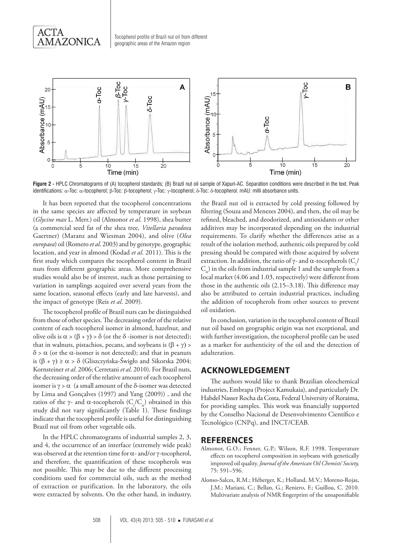



**Figure 2 -** HPLC Chromatograms of (A) tocopherol standards; (B) Brazil nut oil sample of Xapurí-AC. Separation conditions were described in the text. Peak identifications: α-Toc: α-tocopherol; β-Toc: β-tocopherol; γ-Toc: γ-tocopherol; δ-Toc: δ-tocopherol. mAU: milli absorbance units.

It has been reported that the tocopherol concentrations in the same species are affected by temperature in soybean (*Glycine max* L. Merr.) oil (Almonor *et al*. 1998), shea butter (a commercial seed fat of the shea tree, *Vitellaria paradox*a Gaertner) (Maranz and Wiesman 2004), and olive (*Olea europaea*) oil (Romero *et al*. 2003) and by genotype, geographic location, and year in almond (Kodad *et al*. 2011). This is the first study which compares the tocopherol content in Brazil nuts from different geographic areas. More comprehensive studies would also be of interest, such as those pertaining to variation in samplings acquired over several years from the same location, seasonal effects (early and late harvests), and the impact of genotype (Reis *et al*. 2009).

The tocopherol profile of Brazil nuts can be distinguished from those of other species. The decreasing order of the relative content of each tocopherol isomer in almond, hazelnut, and olive oils is  $\alpha$  > ( $\beta$  +  $\gamma$ ) >  $\delta$  (or the  $\delta$  -isomer is not detected); that in walnuts, pistachios, pecans, and soybeans is  $(\beta + \gamma)$  >  $\delta$  >  $\alpha$  (or the  $\alpha$ -isomer is not detected); and that in peanuts is  $(\beta + \gamma) \ge \alpha > \delta$  (Gliszczyńska-Świgło and Sikorska 2004; Kornsteiner *et al*. 2006; Cerretani *et al*. 2010). For Brazil nuts, the decreasing order of the relative amount of each tocopherol isomer is  $\gamma > \alpha$  (a small amount of the  $\delta$ -isomer was detected by Lima and Gonçalves (1997) and Yang (2009)) , and the ratios of the  $\gamma$ - and  $\alpha$ -tocopherols (C<sub> $\gamma$ </sub>/C<sub>a</sub>) obtained in this study did not vary significantly (Table 1). These findings indicate that the tocopherol profile is useful for distinguishing Brazil nut oil from other vegetable oils.

In the HPLC chromatograms of industrial samples 2, 3, and 4, the occurrence of an interface (extremely wide peak) was observed at the retention time for a*-* and/or g*-*tocopherol, and therefore, the quantification of these tocopherols was not possible. This may be due to the different processing conditions used for commercial oils, such as the method of extraction or purification. In the laboratory, the oils were extracted by solvents. On the other hand, in industry, the Brazil nut oil is extracted by cold pressing followed by filtering (Souza and Menezes 2004), and then, the oil may be refined, bleached, and deodorized, and antioxidants or other additives may be incorporated depending on the industrial requirements. To clarify whether the differences arise as a result of the isolation method, authentic oils prepared by cold pressing should be compared with those acquired by solvent extraction. In addition, the ratio of  $\gamma$ - and  $\alpha$ -tocopherols (C<sub> $_{\gamma}$ </sub>  $C_{a}$ ) in the oils from industrial sample 1 and the sample from a local market (4.06 and 1.03, respectively) were different from those in the authentic oils (2.15–3.18). This difference may also be attributed to certain industrial practices, including the addition of tocopherols from other sources to prevent oil oxidation.

In conclusion, variation in the tocopherol content of Brazil nut oil based on geographic origin was not exceptional, and with further investigation, the tocopherol profile can be used as a marker for authenticity of the oil and the detection of adulteration.

## **ACKNOWLEDGEMENT**

The authors would like to thank Brazilian oleochemical industries, Embrapa (Project Kamukaia), and particularly Dr. Habdel Nasser Rocha da Costa, Federal University of Roraima, for providing samples. This work was financially supported by the Conselho Nacional de Desenvolvimento Científico e Tecnológico (CNPq), and INCT/CEAB.

#### **REFERENCES**

- Almonor, G.O.; Fenner, G.P.; Wilson, R.F. 1998. Temperature effects on tocopherol composition in soybeans with genetically improved oil quality. *Journal of the American Oil Chemists' Society,*  75: 591–596.
- Alonso-Salces, R.M.; Héberger, K.; Holland, M.V.; Moreno-Rojas, J.M.; Mariani, C.; Bellan, G.; Reniero, F.; Guillou, C. 2010. Multivariate analysis of NMR fingerprint of the unsaponifiable